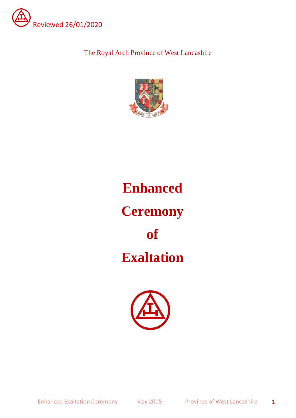

The Royal Arch Province of West Lancashire



**Enhanced Ceremony of Exaltation**

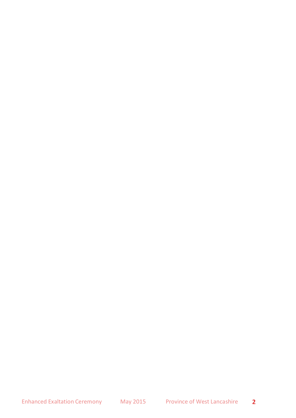Enhanced Exaltation Ceremony May 2015 Province of West Lancashire **2**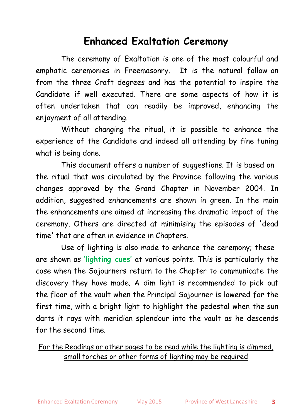# **Enhanced Exaltation Ceremony**

The ceremony of Exaltation is one of the most colourful and emphatic ceremonies in Freemasonry. It is the natural follow-on from the three Craft degrees and has the potential to inspire the Candidate if well executed. There are some aspects of how it is often undertaken that can readily be improved, enhancing the enjoyment of all attending.

Without changing the ritual, it is possible to enhance the experience of the Candidate and indeed all attending by fine tuning what is being done.

This document offers a number of suggestions. It is based on the ritual that was circulated by the Province following the various changes approved by the Grand Chapter in November 2004. In addition, suggested enhancements are shown in green. In the main the enhancements are aimed at increasing the dramatic impact of the ceremony. Others are directed at minimising the episodes of 'dead time' that are often in evidence in Chapters.

Use of lighting is also made to enhance the ceremony; these are shown as **'lighting cues'** at various points. This is particularly the case when the Sojourners return to the Chapter to communicate the discovery they have made. A dim light is recommended to pick out the floor of the vault when the Principal Sojourner is lowered for the first time, with a bright light to highlight the pedestal when the sun darts it rays with meridian splendour into the vault as he descends for the second time.

## For the Readings or other pages to be read while the lighting is dimmed, small torches or other forms of lighting may be required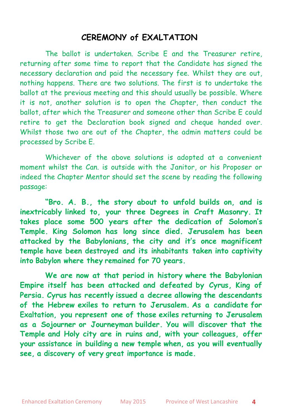# **CEREMONY of EXALTATION**

The ballot is undertaken. Scribe E and the Treasurer retire, returning after some time to report that the Candidate has signed the necessary declaration and paid the necessary fee. Whilst they are out, nothing happens. There are two solutions. The first is to undertake the ballot at the previous meeting and this should usually be possible. Where it is not, another solution is to open the Chapter, then conduct the ballot, after which the Treasurer and someone other than Scribe E could retire to get the Declaration book signed and cheque handed over. Whilst those two are out of the Chapter, the admin matters could be processed by Scribe E.

Whichever of the above solutions is adopted at a convenient moment whilst the Can. is outside with the Janitor, or his Proposer or indeed the Chapter Mentor should set the scene by reading the following passage:

**"Bro. A. B., the story about to unfold builds on, and is inextricably linked to, your three Degrees in Craft Masonry. It takes place some 500 years after the dedication of Solomon's Temple. King Solomon has long since died. Jerusalem has been attacked by the Babylonians, the city and it's once magnificent temple have been destroyed and its inhabitants taken into captivity into Babylon where they remained for 70 years.**

**We are now at that period in history where the Babylonian Empire itself has been attacked and defeated by Cyrus, King of Persia. Cyrus has recently issued a decree allowing the descendants of the Hebrew exiles to return to Jerusalem. As a candidate for Exaltation, you represent one of those exiles returning to Jerusalem as a Sojourner or Journeyman builder. You will discover that the Temple and Holy city are in ruins and, with your colleagues, offer your assistance in building a new temple when, as you will eventually see, a discovery of very great importance is made.**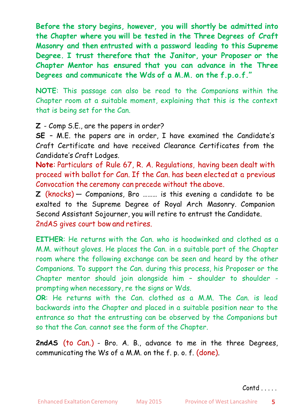**Before the story begins, however, you will shortly be admitted into the Chapter where you will be tested in the Three Degrees of Craft Masonry and then entrusted with a password leading to this Supreme Degree. I trust therefore that the Janitor, your Proposer or the Chapter Mentor has ensured that you can advance in the Three Degrees and communicate the Wds of a M.M. on the f.p.o.f."**

**NOTE**: This passage can also be read to the Companions within the Chapter room at a suitable moment, explaining that this is the context that is being set for the Can.

**Z** - Comp S.E., are the papers in order?

**SE** – M.E. the papers are in order, I have examined the Candidate's Craft Certificate and have received Clearance Certificates from the Candidate's Craft Lodges.

**Note**: Particulars of Rule 67, R. A. Regulations, having been dealt with proceed with ballot for Can. If the Can. has been elected at a previous Convocation the ceremony can precede without the above.

**Z** (knocks) — Companions, Bro ……… is this evening a candidate to be exalted to the Supreme Degree of Royal Arch Masonry. Companion Second Assistant Sojourner, you will retire to entrust the Candidate. 2ndAS gives court bow and retires.

**EITHER**: He returns with the Can. who is hoodwinked and clothed as a M.M. without gloves. He places the Can. in a suitable part of the Chapter room where the following exchange can be seen and heard by the other Companions. To support the Can. during this process, his Proposer or the Chapter mentor should join alongside him – shoulder to shoulder prompting when necessary, re the signs or Wds.

**OR**: He returns with the Can. clothed as a M.M. The Can. is lead backwards into the Chapter and placed in a suitable position near to the entrance so that the entrusting can be observed by the Companions but so that the Can. cannot see the form of the Chapter.

**2ndAS** (to Can.) - Bro. A. B., advance to me in the three Degrees, communicating the Ws of a M.M. on the f. p. o. f. (done).

 $Contd$  . . . . .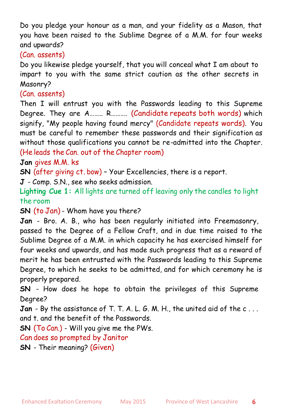Do you pledge your honour as a man, and your fidelity as a Mason, that you have been raised to the Sublime Degree of a M.M. for four weeks and upwards?

## (Can. assents)

Do you likewise pledge yourself, that you will conceal what I am about to impart to you with the same strict caution as the other secrets in Masonry?

### (Can. assents)

Then I will entrust you with the Passwords leading to this Supreme Degree. They are A…….. R………. (Candidate repeats both words) which signify, "My people having found mercy" (Candidate repeats words). You must be careful to remember these passwords and their signification as without those qualifications you cannot be re-admitted into the Chapter. (He leads the Can. out of the Chapter room)

**Jan** gives M.M. ks

**SN** (after giving ct. bow) – Your Excellencies, there is a report.

**J** - Comp. S.N., see who seeks admission.

**Lighting Cue 1:** All lights are turned off leaving only the candles to light the room

**SN** (to Jan) - Whom have you there?

**Jan** - Bro. A. B., who has been regularly initiated into Freemasonry, passed to the Degree of a Fellow Craft, and in due time raised to the Sublime Degree of a M.M. in which capacity he has exercised himself for four weeks and upwards, and has made such progress that as a reward of merit he has been entrusted with the Passwords leading to this Supreme Degree, to which he seeks to be admitted, and for which ceremony he is properly prepared.

**SN** - How does he hope to obtain the privileges of this Supreme Degree?

Jan - By the assistance of T. T. A. L. G. M. H., the united aid of the c ... and t. and the benefit of the Passwords.

**SN** (To Can.) - Will you give me the PWs.

Can does so prompted by Janitor

**SN** - Their meaning? (Given)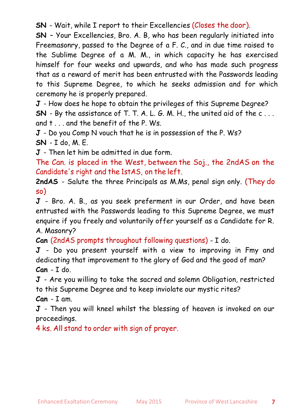**SN** - Wait, while I report to their Excellencies (Closes the door).

**SN** – Your Excellencies, Bro. A. B, who has been regularly initiated into Freemasonry, passed to the Degree of a F. C., and in due time raised to the Sublime Degree of a M. M., in which capacity he has exercised himself for four weeks and upwards, and who has made such progress that as a reward of merit has been entrusted with the Passwords leading to this Supreme Degree, to which he seeks admission and for which ceremony he is properly prepared.

**J** - How does he hope to obtain the privileges of this Supreme Degree?

**SN** - By the assistance of T. T. A. L. G. M. H., the united aid of the c... and t . . . and the benefit of the P. Ws.

**J** - Do you Comp N vouch that he is in possession of the P. Ws? **SN** - I do, M. E.

**J** - Then let him be admitted in due form.

The Can. is placed in the West, between the Soj., the 2ndAS on the Candidate's right and the 1stAS, on the left.

**2ndAS** - Salute the three Principals as M.Ms, penal sign only. (They do so)

**J** - Bro. A. B., as you seek preferment in our Order, and have been entrusted with the Passwords leading to this Supreme Degree, we must enquire if you freely and voluntarily offer yourself as a Candidate for R. A. Masonry?

**Can** (2ndAS prompts throughout following questions) - I do.

**J** - Do you present yourself with a view to improving in Fmy and dedicating that improvement to the glory of God and the good of man? **Can** - I do.

**J** - Are you willing to take the sacred and solemn Obligation, restricted to this Supreme Degree and to keep inviolate our mystic rites? **Can** - I am.

**J** - Then you will kneel whilst the blessing of heaven is invoked on our proceedings.

4 ks. All stand to order with sign of prayer.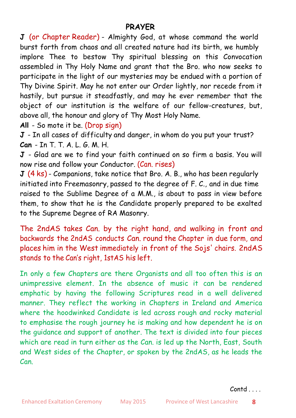**J** (or Chapter Reader) - Almighty God, at whose command the world burst forth from chaos and all created nature had its birth, we humbly implore Thee to bestow Thy spiritual blessing on this Convocation assembled in Thy Holy Name and grant that the Bro. who now seeks to participate in the light of our mysteries may be endued with a portion of Thy Divine Spirit. May he not enter our Order lightly, nor recede from it hastily, but pursue it steadfastly, and may he ever remember that the object of our institution is the welfare of our fellow-creatures, but, above all, the honour and glory of Thy Most Holy Name.

**All** - So mote it be. (Drop sign)

**J** - In all cases of difficulty and danger, in whom do you put your trust? **Can** - In T. T. A. L. G. M. H.

**J** - Glad are we to find your faith continued on so firm a basis. You will now rise and follow your Conductor. (Can. rises)

**J** (4 ks) - Companions, take notice that Bro. A. B., who has been regularly initiated into Freemasonry, passed to the degree of F. C., and in due time raised to the Sublime Degree of a M.M., is about to pass in view before them, to show that he is the Candidate properly prepared to be exalted to the Supreme Degree of RA Masonry.

The 2ndAS takes Can. by the right hand, and walking in front and backwards the 2ndAS conducts Can. round the Chapter in due form, and places him in the West immediately in front of the Sojs' chairs. 2ndAS stands to the Can's right, 1stAS his left.

In only a few Chapters are there Organists and all too often this is an unimpressive element. In the absence of music it can be rendered emphatic by having the following Scriptures read in a well delivered manner. They reflect the working in Chapters in Ireland and America where the hoodwinked Candidate is led across rough and rocky material to emphasise the rough journey he is making and how dependent he is on the guidance and support of another. The text is divided into four pieces which are read in turn either as the Can. is led up the North, East, South and West sides of the Chapter, or spoken by the 2ndAS, as he leads the Can.

 $Contd$  . . . .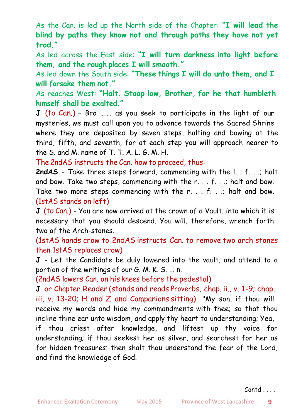As the Can. is led up the North side of the Chapter: **"I will lead the blind by paths they know not and through paths they have not yet trod."**

As led across the East side: **"I will turn darkness into light before them, and the rough places I will smooth."**

As led down the South side: **"These things I will do unto them, and I will forsake them not."**

As reaches West: **"Halt. Stoop low, Brother, for he that humbleth himself shall be exalted."**

**J** (to Can.) – Bro ……. as you seek to participate in the light of our mysteries, we must call upon you to advance towards the Sacred Shrine where they are deposited by seven steps, halting and bowing at the third, fifth, and seventh, for at each step you will approach nearer to the S. and M. name of T. T. A. L. G. M. H.

The 2ndAS instructs the Can. how to proceed, thus:

**2ndAS** - Take three steps forward, commencing with the l. . f. . .; halt and bow. Take two steps, commencing with the  $r_{n+1}$ ,  $f_{n+2}$ , halt and bow. Take two more steps commencing with the r. . .  $f.$  . .; halt and bow. (1stAS stands on left)

**J** (to Can.) - You are now arrived at the crown of a Vault, into which it is necessary that you should descend. You will, therefore, wrench forth two of the Arch-stones.

(1stAS hands crow to 2ndAS instructs Can. to remove two arch stones then 1stAS replaces crow)

**J** - Let the Candidate be duly lowered into the vault, and attend to a portion of the writings of our G. M. K. S. ... n.

(2ndAS lowers Can. on his knees before the pedestal)

**J** or Chapter Reader (stands and reads Proverbs, chap. ii., v. 1-9; chap. iii, v. 13-20; H and Z and Companions sitting) "My son, if thou will receive my words and hide my commandments with thee; so that thou incline thine ear unto wisdom, and apply thy heart to understanding; Yea, if thou criest after knowledge, and liftest up thy voice for

understanding; if thou seekest her as silver, and searchest for her as for hidden treasures: then shalt thou understand the fear of the Lord, and find the knowledge of God.

 $Contd$ ...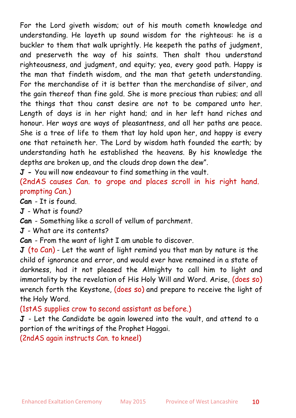For the Lord giveth wisdom; out of his mouth cometh knowledge and understanding. He layeth up sound wisdom for the righteous: he is a buckler to them that walk uprightly. He keepeth the paths of judgment, and preserveth the way of his saints. Then shalt thou understand righteousness, and judgment, and equity; yea, every good path. Happy is the man that findeth wisdom, and the man that geteth understanding. For the merchandise of it is better than the merchandise of silver, and the gain thereof than fine gold. She is more precious than rubies; and all the things that thou canst desire are not to be compared unto her. Length of days is in her right hand; and in her left hand riches and honour. Her ways are ways of pleasantness, and all her paths are peace. She is a tree of life to them that lay hold upon her, and happy is every one that retaineth her. The Lord by wisdom hath founded the earth; by understanding hath he established the heavens. By his knowledge the depths are broken up, and the clouds drop down the dew".

**J -** You will now endeavour to find something in the vault.

(2ndAS causes Can. to grope and places scroll in his right hand. prompting Can.)

**Can** - It is found.

**J** - What is found?

**Can** - Something like a scroll of vellum of parchment.

**J** - What are its contents?

**Can** - From the want of light I am unable to discover.

**J** (to Can) - Let the want of light remind you that man by nature is the child of ignorance and error, and would ever have remained in a state of darkness, had it not pleased the Almighty to call him to light and immortality by the revelation of His Holy Will and Word. Arise, (does so) wrench forth the Keystone, (does so) and prepare to receive the light of the Holy Word.

(1stAS supplies crow to second assistant as before.)

**J** - Let the Candidate be again lowered into the vault, and attend to a portion of the writings of the Prophet Haggai.

(2ndAS again instructs Can. to kneel)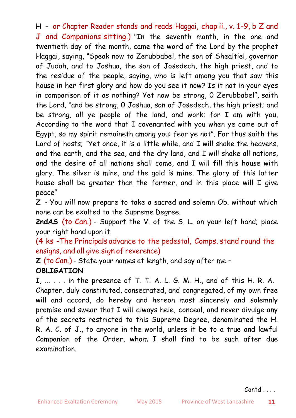**H -** or Chapter Reader stands and reads Haggai, chap ii., v. 1-9, b Z and J and Companions sitting.) "In the seventh month, in the one and twentieth day of the month, came the word of the Lord by the prophet Haggai, saying, "Speak now to Zerubbabel, the son of Shealtiel, governor of Judah, and to Joshua, the son of Josedech, the high priest, and to the residue of the people, saying, who is left among you that saw this house in her first glory and how do you see it now? Is it not in your eyes in comparison of it as nothing? Yet now be strong, 0 Zerubbabel", saith the Lord, "and be strong, 0 Joshua, son of Josedech, the high priest; and be strong, all ye people of the land, and work: for I am with you, According to the word that I covenanted with you when ye came out of Egypt, so my spirit remaineth among you: fear ye not". For thus saith the Lord of hosts; "Yet once, it is a little while, and I will shake the heavens, and the earth, and the sea, and the dry land, and I will shake all nations, and the desire of all nations shall come, and I will fill this house with glory. The silver is mine, and the gold is mine. The glory of this latter house shall be greater than the former, and in this place will I give peace"

**Z** - You will now prepare to take a sacred and solemn Ob. without which none can be exalted to the Supreme Degree.

**2ndAS** (to Can.) - Support the V. of the S. L. on your left hand; place your right hand upon it.

(4 ks -The Principals advance to the pedestal, Comps. stand round the ensigns, and all give sign of reverence)

**Z** (to Can.) - State your names at length, and say after me –

#### **OBLIGATION**

 $I, \ldots$  ... in the presence of T. T. A. L. G. M. H., and of this H. R. A. Chapter, duly constituted, consecrated, and congregated, of my own free will and accord, do hereby and hereon most sincerely and solemnly promise and swear that I will always hele, conceal, and never divulge any of the secrets restricted to this Supreme Degree, denominated the H. R. A. C. of J., to anyone in the world, unless it be to a true and lawful Companion of the Order, whom I shall find to be such after due examination.

 $Contd$  . . . .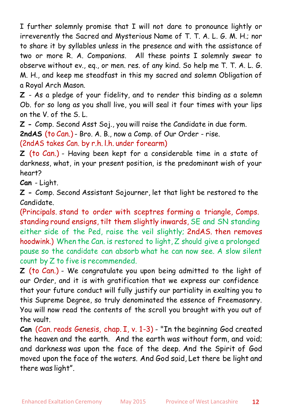I further solemnly promise that I will not dare to pronounce lightly or irreverently the Sacred and Mysterious Name of T. T. A. L. G. M. H.; nor to share it by syllables unless in the presence and with the assistance of two or more R. A. Companions. All these points I solemnly swear to observe without ev., eq., or men. res. of any kind. So help me T. T. A. L. G. M. H., and keep me steadfast in this my sacred and solemn Obligation of a Royal Arch Mason.

**Z** - As a pledge of your fidelity, and to render this binding as a solemn Ob. for so long as you shall live, you will seal it four times with your lips on the V. of the S. L.

**Z -** Comp. Second Asst Soj., you will raise the Candidate in due form.

**2ndAS** (to Can.) - Bro. A. B., now a Comp. of Our Order - rise.

(2ndAS takes Can. by r.h. l.h. under forearm)

**Z** (to Can.) - Having been kept for a considerable time in a state of darkness, what, in your present position, is the predominant wish of your heart?

**Can** - Light.

**Z -** Comp. Second Assistant Sojourner, let that light be restored to the Candidate.

(Principals. stand to order with sceptres forming a triangle, Comps. standing round ensigns, tilt them slightly inwards, SE and SN standing either side of the Ped, raise the veil slightly; 2ndAS, then removes hoodwink.) When the Can. is restored to light, Z should give a prolonged pause so the candidate can absorb what he can now see. A slow silent count by Z to five is recommended.

**Z** (to Can.) - We congratulate you upon being admitted to the light of our Order, and it is with gratification that we express our confidence that your future conduct will fully justify our partiality in exalting you to this Supreme Degree, so truly denominated the essence of Freemasonry. You will now read the contents of the scroll you brought with you out of the vault.

**Can** (Can. reads Genesis, chap. I, v. 1-3) - "In the beginning God created the heaven and the earth. And the earth was without form, and void; and darkness was upon the face of the deep. And the Spirit of God moved upon the face of the waters. And God said, Let there be light and there was light".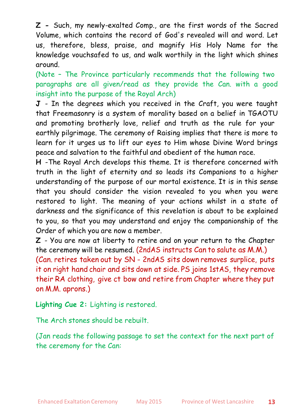**Z -** Such, my newly-exalted Comp., are the first words of the Sacred Volume, which contains the record of God's revealed will and word. Let us, therefore, bless, praise, and magnify His Holy Name for the knowledge vouchsafed to us, and walk worthily in the light which shines around.

(Note – The Province particularly recommends that the following two paragraphs are all given/read as they provide the Can. with a good insight into the purpose of the Royal Arch)

**J** - In the degrees which you received in the Craft, you were taught that Freemasonry is a system of morality based on a belief in TGAOTU and promoting brotherly love, relief and truth as the rule for your earthly pilgrimage. The ceremony of Raising implies that there is more to learn for it urges us to lift our eyes to Him whose Divine Word brings peace and salvation to the faithful and obedient of the human race.

**H** -The Royal Arch develops this theme. It is therefore concerned with truth in the light of eternity and so leads its Companions to a higher understanding of the purpose of our mortal existence. It is in this sense that you should consider the vision revealed to you when you were restored to light. The meaning of your actions whilst in a state of darkness and the significance of this revelation is about to be explained to you, so that you may understand and enjoy the companionship of the Order of which you are now a member.

**Z** - You are now at liberty to retire and on your return to the Chapter the ceremony will be resumed. (2ndAS instructs Can to salute as M.M.) (Can. retires taken out by SN - 2ndAS sits down removes surplice, puts it on right hand chair and sits down at side. PS joins 1stAS, they remove their RA clothing, give ct bow and retire from Chapter where they put on M.M. aprons.)

**Lighting Cue 2:** Lighting is restored.

The Arch stones should be rebuilt.

(Jan reads the following passage to set the context for the next part of the ceremony for the Can: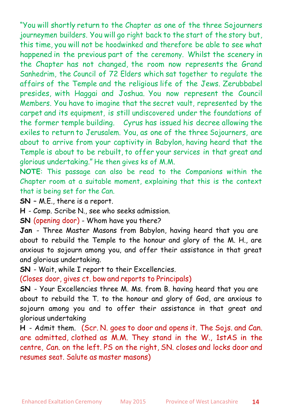"You will shortly return to the Chapter as one of the three Sojourners journeymen builders. You will go right back to the start of the story but, this time, you will not be hoodwinked and therefore be able to see what happened in the previous part of the ceremony. Whilst the scenery in the Chapter has not changed, the room now represents the Grand Sanhedrim, the Council of 72 Elders which sat together to regulate the affairs of the Temple and the religious life of the Jews. Zerubbabel presides, with Haggai and Joshua. You now represent the Council Members. You have to imagine that the secret vault, represented by the carpet and its equipment, is still undiscovered under the foundations of the former temple building. Cyrus has issued his decree allowing the exiles to return to Jerusalem. You, as one of the three Sojourners, are about to arrive from your captivity in Babylon, having heard that the Temple is about to be rebuilt, to offer your services in that great and glorious undertaking." He then gives ks of M.M.

**NOTE**: This passage can also be read to the Companions within the Chapter room at a suitable moment, explaining that this is the context that is being set for the Can.

**SN** – M.E., there is a report.

**H** - Comp. Scribe N., see who seeks admission.

**SN** (opening door) - Whom have you there?

**Jan** - Three Master Masons from Babylon, having heard that you are about to rebuild the Temple to the honour and glory of the M. H., are anxious to sojourn among you, and offer their assistance in that great and glorious undertaking.

**SN** - Wait, while I report to their Excellencies.

(Closes door, gives ct. bow and reports to Principals)

**SN** - Your Excellencies three M. Ms. from B. having heard that you are about to rebuild the T. to the honour and glory of God, are anxious to sojourn among you and to offer their assistance in that great and glorious undertaking

**H** - Admit them. (Scr. N. goes to door and opens it. The Sojs. and Can. are admitted, clothed as M.M. They stand in the W., 1stAS in the centre, Can. on the left. PS on the right, SN. closes and locks door and resumes seat. Salute as master masons)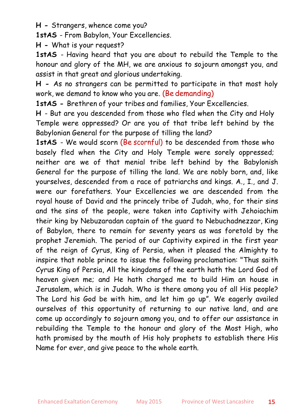**H -** Strangers, whence come you?

**1stAS** - From Babylon, Your Excellencies.

**H -** What is your request?

**1stAS** - Having heard that you are about to rebuild the Temple to the honour and glory of the MH, we are anxious to sojourn amongst you, and assist in that great and glorious undertaking.

**H -** As no strangers can be permitted to participate in that most holy work, we demand to know who you are. (Be demanding)

**1stAS -** Brethren of your tribes and families, Your Excellencies.

**H** - But are you descended from those who fled when the City and Holy Temple were oppressed? Or are you of that tribe left behind by the Babylonian General for the purpose of tilling the land?

1stAS - We would scorn (Be scornful) to be descended from those who basely fled when the City and Holy Temple were sorely oppressed; neither are we of that menial tribe left behind by the Babylonish General for the purpose of tilling the land. We are nobly born, and, like yourselves, descended from a race of patriarchs and kings. A., I., and J. were our forefathers. Your Excellencies we are descended from the royal house of David and the princely tribe of Judah, who, for their sins and the sins of the people, were taken into Captivity with Jehoiachim their king by Nebuzaradan captain of the guard to Nebuchadnezzar, King of Babylon, there to remain for seventy years as was foretold by the prophet Jeremiah. The period of our Captivity expired in the first year of the reign of Cyrus, King of Persia, when it pleased the Almighty to inspire that noble prince to issue the following proclamation: "Thus saith Cyrus King of Persia, All the kingdoms of the earth hath the Lord God of heaven given me; and He hath charged me to build Him an house in Jerusalem, which is in Judah. Who is there among you of all His people? The Lord his God be with him, and let him go up". We eagerly availed ourselves of this opportunity of returning to our native land, and are come up accordingly to sojourn among you, and to offer our assistance in rebuilding the Temple to the honour and glory of the Most High, who hath promised by the mouth of His holy prophets to establish there His Name for ever, and give peace to the whole earth.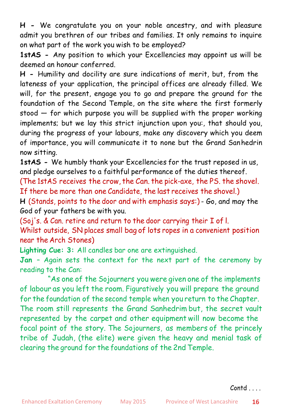**H -** We congratulate you on your noble ancestry, and with pleasure admit you brethren of our tribes and families. It only remains to inquire on what part of the work you wish to be employed?

**1stAS -** Any position to which your Excellencies may appoint us will be deemed an honour conferred.

**H -** Humility and docility are sure indications of merit, but, from the lateness of your application, the principal offices are already filled. We will, for the present, engage you to go and prepare the ground for the foundation of the Second Temple, on the site where the first formerly stood — for which purpose you will be supplied with the proper working implements; but we lay this strict injunction upon you:, that should you, during the progress of your labours, make any discovery which you deem of importance, you will communicate it to none but the Grand Sanhedrin now sitting.

**1stAS -** We humbly thank your Excellencies for the trust reposed in us, and pledge ourselves to a faithful performance of the duties thereof.

(The 1stAS receives the crow, the Can. the pick-axe, the PS. the shovel. If there be more than one Candidate, the last receives the shovel.)

**H** (Stands, points to the door and with emphasis says:) - Go, and may the God of your fathers be with you.

(Soj's. & Can. retire and return to the door carrying their I of l.

Whilst outside, SN places small bag of lots ropes in a convenient position near the Arch Stones)

**Lighting Cue: 3:** All candles bar one are extinguished.

**Jan** – Again sets the context for the next part of the ceremony by reading to the Can:

"As one of the Sojourners you were given one of the implements of labour as you left the room. Figuratively you will prepare the ground for the foundation of the second temple when you return to the Chapter. The room still represents the Grand Sanhedrim but, the secret vault represented by the carpet and other equipment will now become the focal point of the story. The Sojourners, as members of the princely tribe of Judah, (the elite) were given the heavy and menial task of clearing the ground for the foundations of the 2nd Temple.

 $Contd$  . . . .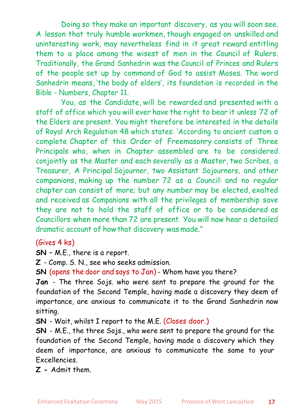Doing so they make an important discovery, as you will soon see. A lesson that truly humble workmen, though engaged on unskilled and uninteresting work, may nevertheless find in it great reward entitling them to a place among the wisest of men in the Council of Rulers. Traditionally, the Grand Sanhedrin was the Council of Princes and Rulers of the people set up by command of God to assist Moses. The word Sanhedrin means, 'the body of elders', its foundation is recorded in the Bible - Numbers, Chapter 11.

You, as the Candidate, will be rewarded and presented with a staff of office which you will ever have the right to bear it unless 72 of the Elders are present. You might therefore be interested in the details of Royal Arch Regulation 48 which states: 'According to ancient custom a complete Chapter of this Order of Freemasonry consists of Three Principals who, when in Chapter assembled are to be considered conjointly as the Master and each severally as a Master, two Scribes, a Treasurer, A Principal Sojourner, two Assistant Sojourners, and other companions, making up the number 72 as a Council: and no regular chapter can consist of more; but any number may be elected, exalted and received as Companions with all the privileges of membership save they are not to hold the staff of office or to be considered as Councillors when more than 72 are present. You will now hear a detailed dramatic account of how that discovery was made."

#### (Gives 4 ks)

**SN** – M.E., there is a report.

**Z** - Comp. S. N., see who seeks admission.

**SN** (opens the door and says to Jan) - Whom have you there?

**Jan** - The three Sojs. who were sent to prepare the ground for the foundation of the Second Temple, having made a discovery they deem of importance, are anxious to communicate it to the Grand Sanhedrin now sitting.

**SN** - Wait, whilst I report to the M.E. (Closes door.)

**SN** - M.E., the three Sojs., who were sent to prepare the ground for the foundation of the Second Temple, having made a discovery which they deem of importance, are anxious to communicate the same to your Excellencies.

**Z -** Admit them.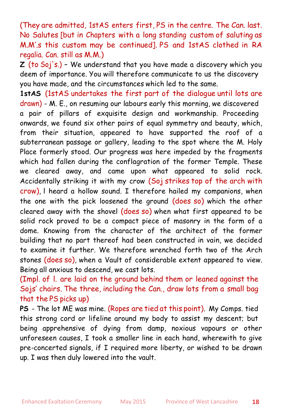(They are admitted, 1stAS enters first, PS in the centre. The Can. last. No Salutes [but in Chapters with a long standing custom of saluting as M.M'.s this custom may be continued]. PS and 1stAS clothed in RA regalia. Can. still as M.M.)

**Z** (to Soj's.) – We understand that you have made a discovery which you deem of importance. You will therefore communicate to us the discovery you have made, and the circumstances which led to the same.

**1stAS** (1stAS undertakes the first part of the dialogue until lots are drawn) - M. E., on resuming our labours early this morning, we discovered a pair of pillars of exquisite design and workmanship. Proceeding onwards, we found six other pairs of equal symmetry and beauty, which, from their situation, appeared to have supported the roof of a subterranean passage or gallery, leading to the spot where the M. Holy Place formerly stood. Our progress was here impeded by the fragments which had fallen during the conflagration of the former Temple. These we cleared away, and came upon what appeared to solid rock. Accidentally striking it with my crow (Soj strikes top of the arch with crow), l heard a hollow sound. I therefore hailed my companions, when the one with the pick loosened the ground (does so) which the other cleared away with the shovel (does so) when what first appeared to be solid rock proved to be a compact piece of masonry in the form of a dome. Knowing from the character of the architect of the former building that no part thereof had been constructed in vain, we decided to examine it further. We therefore wrenched forth two of the Arch stones (does so), when a Vault of considerable extent appeared to view. Being all anxious to descend, we cast lots.

(Impl. of l. are laid on the ground behind them or leaned against the Sojs' chairs. The three, including the Can., draw lots from a small bag that the PS picks up)

**PS** - The lot ME was mine. (Ropes are tied at this point). My Comps. tied this strong cord or lifeline around my body to assist my descent; but being apprehensive of dying from damp, noxious vapours or other unforeseen causes, I took a smaller line in each hand, wherewith to give pre-concerted signals, if I required more liberty, or wished to be drawn up. I was then duly lowered into the vault.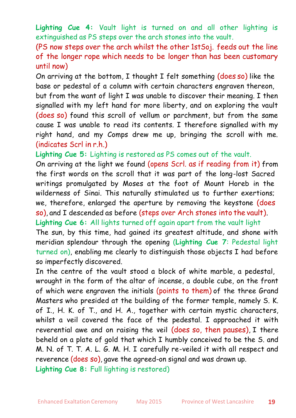**Lighting Cue 4:** Vault light is turned on and all other lighting is extinguished as PS steps over the arch stones into the vault.

(PS now steps over the arch whilst the other 1stSoj. feeds out the line of the longer rope which needs to be longer than has been customary until now)

On arriving at the bottom, I thought I felt something (does so) like the base or pedestal of a column with certain characters engraven thereon, but from the want of light I was unable to discover their meaning. I then signalled with my left hand for more liberty, and on exploring the vault (does so) found this scroll of vellum or parchment, but from the same cause I was unable to read its contents. I therefore signalled with my right hand, and my Comps drew me up, bringing the scroll with me. (indicates Scrl in r.h.)

**Lighting Cue 5:** Lighting is restored as PS comes out of the vault.

On arriving at the light we found (opens Scrl. as if reading from it) from the first words on the scroll that it was part of the long-lost Sacred writings promulgated by Moses at the foot of Mount Horeb in the wilderness of Sinai. This naturally stimulated us to further exertions; we, therefore, enlarged the aperture by removing the keystone (does so), and I descended as before (steps over Arch stones into the vault). **Lighting Cue 6:** All lights turned off again apart from the vault light

The sun, by this time, had gained its greatest altitude, and shone with meridian splendour through the opening (**Lighting Cue 7**: Pedestal light turned on), enabling me clearly to distinguish those objects I had before so imperfectly discovered.

In the centre of the vault stood a block of white marble, a pedestal, wrought in the form of the altar of incense, a double cube, on the front of which were engraven the initials (points to them) of the three Grand Masters who presided at the building of the former temple, namely S. K. of I., H. K. of T., and H. A., together with certain mystic characters, whilst a veil covered the face of the pedestal. I approached it with reverential awe and on raising the veil (does so, then pauses), I there beheld on a plate of gold that which I humbly conceived to be the S. and M. N. of T. T. A. L. G. M. H. I carefully re-veiled it with all respect and reverence (does so), gave the agreed-on signal and was drawn up. **Lighting Cue 8:** Full lighting is restored)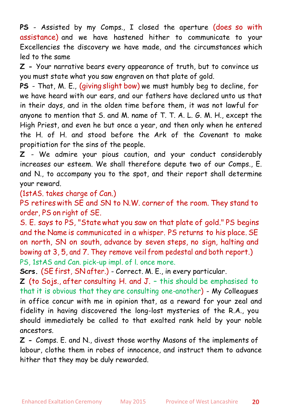**PS** - Assisted by my Comps., I closed the aperture (does so with assistance) and we have hastened hither to communicate to your Excellencies the discovery we have made, and the circumstances which led to the same

**Z -** Your narrative bears every appearance of truth, but to convince us you must state what you saw engraven on that plate of gold.

**PS** - That, M. E., (giving slight bow) we must humbly beg to decline, for we have heard with our ears, and our fathers have declared unto us that in their days, and in the olden time before them, it was not lawful for anyone to mention that S. and M. name of T. T. A. L. G. M. H., except the High Priest, and even he but once a year, and then only when he entered the H. of H. and stood before the Ark of the Covenant to make propitiation for the sins of the people.

**Z** - We admire your pious caution, and your conduct considerably increases our esteem. We shall therefore depute two of our Comps., E. and N., to accompany you to the spot, and their report shall determine your reward.

(1stAS. takes charge of Can.)

PS retires with SE and SN to N.W. corner of the room. They stand to order, PS on right of SE.

S. E. says to PS, "State what you saw on that plate of gold." PS begins and the Name is communicated in a whisper. PS returns to his place. SE on north, SN on south, advance by seven steps, no sign, halting and bowing at 3, 5, and 7. They remove veil from pedestal and both report.) PS, 1stAS and Can. pick-up impl. of l. once more.

**Scrs.** (SE first, SN after.) - Correct. M. E., in every particular.

**Z** (to Sojs., after consulting H. and J. – this should be emphasised to that it is obvious that they are consulting one-another) - My Colleagues in office concur with me in opinion that, as a reward for your zeal and fidelity in having discovered the long-lost mysteries of the R.A., you should immediately be called to that exalted rank held by your noble ancestors.

**Z -** Comps. E. and N., divest those worthy Masons of the implements of labour, clothe them in robes of innocence, and instruct them to advance hither that they may be duly rewarded.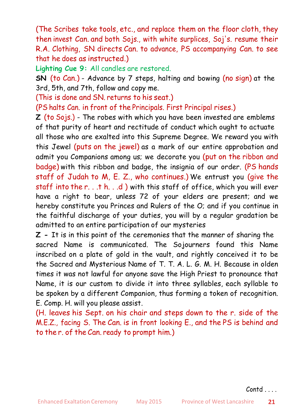(The Scribes take tools, etc., and replace them on the floor cloth, they then invest Can. and both Sojs., with white surplices, Soj's. resume their R.A. Clothing, SN directs Can. to advance, PS accompanying Can. to see that he does as instructed.)

**Lighting Cue 9:** All candles are restored.

**SN** (to Can.) - Advance by 7 steps, halting and bowing (no sign) at the 3rd, 5th, and 7th, follow and copy me.

(This is done and SN. returns to his seat.)

(PS halts Can. in front of the Principals. First Principal rises.)

**Z** (to Sojs.) - The robes with which you have been invested are emblems of that purity of heart and rectitude of conduct which ought to actuate all those who are exalted into this Supreme Degree. We reward you with this Jewel (puts on the jewel) as a mark of our entire approbation and admit you Companions among us; we decorate you (put on the ribbon and badge) with this ribbon and badge, the insignia of our order. (PS hands staff of Judah to M, E. Z., who continues.) We entrust you (give the staff into the r. . .t h. . .d ) with this staff of office, which you will ever have a right to bear, unless 72 of your elders are present; and we hereby constitute you Princes and Rulers of the O; and if you continue in the faithful discharge of your duties, you will by a regular gradation be admitted to an entire participation of our mysteries

**Z -** It is in this point of the ceremonies that the manner of sharing the sacred Name is communicated. The Sojourners found this Name inscribed on a plate of gold in the vault, and rightly conceived it to be the Sacred and Mysterious Name of T. T. A. L. G. M. H. Because in olden times it was not lawful for anyone save the High Priest to pronounce that Name, it is our custom to divide it into three syllables, each syllable to be spoken by a different Companion, thus forming a token of recognition. E. Comp. H. will you please assist.

(H. leaves his Sept. on his chair and steps down to the r. side of the M.E.Z., facing S. The Can. is in front looking E., and the PS is behind and to the r. of the Can. ready to prompt him.)

 $Contd$ ...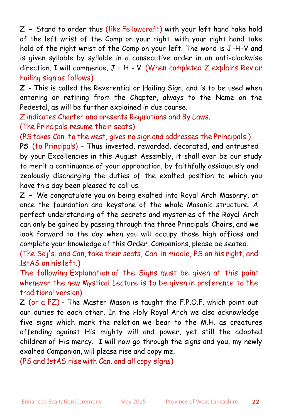**Z -** Stand to order thus (like Fellowcraft) with your left hand take hold of the left wrist of the Comp on your right, with your right hand take hold of the right wrist of the Comp on your left. The word is J-H-V and is given syllable by syllable in a consecutive order in an anti-clockwise direction. I will commence, J – H - V. (When completed Z explains Rev or hailing sign as follows)

**Z** - This is called the Reverential or Hailing Sign, and is to be used when entering or retiring from the Chapter, always to the Name on the Pedestal, as will be further explained in due course.

Z indicates Charter and presents Regulations and By Laws.

(The Principals resume their seats)

(PS takes Can. to the west, gives no sign and addresses the Principals.)

**PS** (to Principals) - Thus invested, rewarded, decorated, and entrusted by your Excellencies in this August Assembly, it shall ever be our study to merit a continuance of your approbation, by faithfully assiduously and zealously discharging the duties of the exalted position to which you have this day been pleased to call us.

**Z -** We congratulate you on being exalted into Royal Arch Masonry, at once the foundation and keystone of the whole Masonic structure. A perfect understanding of the secrets and mysteries of the Royal Arch can only be gained by passing through the three Principals' Chairs, and we look forward to the day when you will occupy those high offices and complete your knowledge of this Order. Companions, please be seated.

(The Soj's. and Can, take their seats, Can. in middle, PS on his right, and 1stAS on his left.)

The following Explanation of the Signs must be given at this point whenever the new Mystical Lecture is to be given in preference to the traditional version).

**Z** (or a PZ) - The Master Mason is taught the F.P.O.F. which point out our duties to each other. In the Holy Royal Arch we also acknowledge five signs which mark the relation we bear to the M.H. as creatures offending against His mighty will and power, yet still the adopted children of His mercy. I will now go through the signs and you, my newly exalted Companion, will please rise and copy me.

(PS and 1stAS rise with Can. and all copy signs)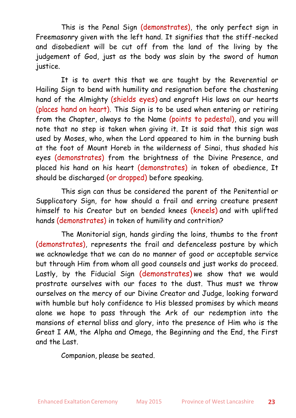This is the Penal Sign (demonstrates), the only perfect sign in Freemasonry given with the left hand. It signifies that the stiff-necked and disobedient will be cut off from the land of the living by the judgement of God, just as the body was slain by the sword of human justice.

It is to avert this that we are taught by the Reverential or Hailing Sign to bend with humility and resignation before the chastening hand of the Almighty (shields eyes) and engraft His laws on our hearts (places hand on heart). This Sign is to be used when entering or retiring from the Chapter, always to the Name (points to pedestal), and you will note that no step is taken when giving it. It is said that this sign was used by Moses, who, when the Lord appeared to him in the burning bush at the foot of Mount Horeb in the wilderness of Sinai, thus shaded his eyes (demonstrates) from the brightness of the Divine Presence, and placed his hand on his heart (demonstrates) in token of obedience, It should be discharged (or dropped) before speaking.

This sign can thus be considered the parent of the Penitential or Supplicatory Sign, for how should a frail and erring creature present himself to his Creator but on bended knees (kneels) and with uplifted hands (demonstrates) in token of humility and contrition?

The Monitorial sign, hands girding the loins, thumbs to the front (demonstrates), represents the frail and defenceless posture by which we acknowledge that we can do no manner of good or acceptable service but through Him from whom all good counsels and just works do proceed. Lastly, by the Fiducial Sign (demonstrates) we show that we would prostrate ourselves with our faces to the dust. Thus must we throw ourselves on the mercy of our Divine Creator and Judge, looking forward with humble but holy confidence to His blessed promises by which means alone we hope to pass through the Ark of our redemption into the mansions of eternal bliss and glory, into the presence of Him who is the Great I AM, the Alpha and Omega, the Beginning and the End, the First and the Last.

Companion, please be seated.